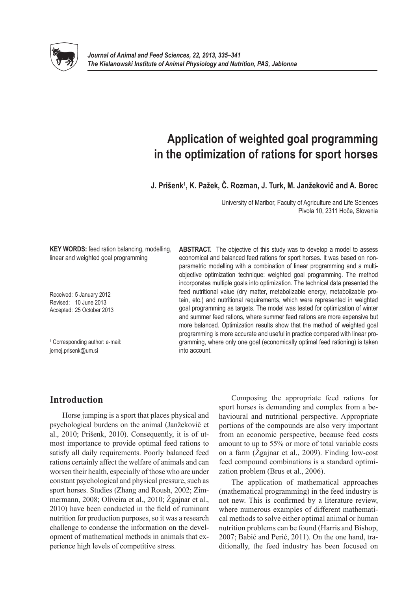

# **Application of weighted goal programming in the optimization of rations for sport horses**

**J. Prišenk1 , K. Pažek, Č. Rozman, J. Turk, M. Janžekovič and A. Borec**

University of Maribor, Faculty of Agriculture and Life Sciences Pivola 10, 2311 Hoče, Slovenia

**KEY WORDS:** feed ration balancing, modelling, linear and weighted goal programming

Received: 5 January 2012 Revised: 10 June 2013 Accepted: 25 October 2013

1 Corresponding author: e-mail: jernej.prisenk@um.si

**ABSTRACT.** The objective of this study was to develop a model to assess economical and balanced feed rations for sport horses. It was based on nonparametric modelling with a combination of linear programming and a multiobjective optimization technique: weighted goal programming. The method incorporates multiple goals into optimization. The technical data presented the feed nutritional value (dry matter, metabolizable energy, metabolizable protein, etc.) and nutritional requirements, which were represented in weighted goal programming as targets. The model was tested for optimization of winter and summer feed rations, where summer feed rations are more expensive but more balanced. Optimization results show that the method of weighted goal programming is more accurate and useful in practice compared with linear programming, where only one goal (economically optimal feed rationing) is taken into account.

# **Introduction**

Horse jumping is a sport that places physical and psychological burdens on the animal (Janžekovič et al., 2010; Prišenk, 2010). Consequently, it is of utmost importance to provide optimal feed rations to satisfy all daily requirements. Poorly balanced feed rations certainly affect the welfare of animals and can worsen their health, especially of those who are under constant psychological and physical pressure, such as sport horses. Studies (Zhang and Roush, 2002; Zimmermann, 2008; Oliveira et al., 2010; Žgajnar et al., 2010) have been conducted in the field of ruminant nutrition for production purposes, so it was a research challenge to condense the information on the development of mathematical methods in animals that experience high levels of competitive stress.

Composing the appropriate feed rations for sport horses is demanding and complex from a behavioural and nutritional perspective. Appropriate portions of the compounds are also very important from an economic perspective, because feed costs amount to up to 55% or more of total variable costs on a farm (Žgajnar et al., 2009). Finding low-cost feed compound combinations is a standard optimization problem (Brus et al., 2006).

The application of mathematical approaches (mathematical programming) in the feed industry is not new. This is confirmed by a literature review, where numerous examples of different mathematical methods to solve either optimal animal or human nutrition problems can be found (Harris and Bishop, 2007; Babić and Perić, 2011). On the one hand, traditionally, the feed industry has been focused on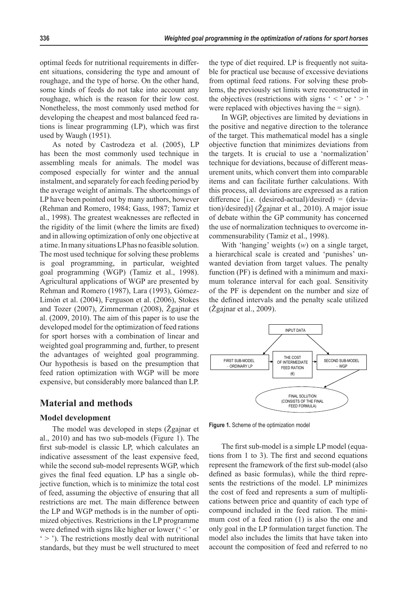optimal feeds for nutritional requirements in different situations, considering the type and amount of roughage, and the type of horse. On the other hand, some kinds of feeds do not take into account any roughage, which is the reason for their low cost. Nonetheless, the most commonly used method for developing the cheapest and most balanced feed rations is linear programming (LP), which was first used by Waugh (1951).

As noted by Castrodeza et al. (2005), LP has been the most commonly used technique in assembling meals for animals. The model was composed especially for winter and the annual instalment, and separately for each feeding period by the average weight of animals. The shortcomings of LP have been pointed out by many authors, however (Rehman and Romero, 1984; Gass, 1987; Tamiz et al., 1998). The greatest weaknesses are reflected in the rigidity of the limit (where the limits are fixed) and in allowing optimization of only one objective at a time. In many situations LP has no feasible solution. The most used technique for solving these problems is goal programming, in particular, weighted goal programming (WGP) (Tamiz et al., 1998). Agricultural applications of WGP are presented by Rehman and Romero (1987), Lara (1993), Gómez-Limón et al. (2004), Ferguson et al. (2006), Stokes and Tozer (2007), Zimmerman (2008), Žgajnar et al. (2009, 2010). The aim of this paper is to use the developed model for the optimization of feed rations for sport horses with a combination of linear and weighted goal programming and, further, to present the advantages of weighted goal programming. Our hypothesis is based on the presumption that feed ration optimization with WGP will be more expensive, but considerably more balanced than LP.

## **Material and methods**

#### **Model development**

The model was developed in steps (Žgajnar et al., 2010) and has two sub-models (Figure 1). The first sub-model is classic LP, which calculates an indicative assessment of the least expensive feed, while the second sub-model represents WGP, which gives the final feed equation. LP has a single objective function, which is to minimize the total cost of feed, assuming the objective of ensuring that all restrictions are met. The main difference between the LP and WGP methods is in the number of optimized objectives. Restrictions in the LP programme were defined with signs like higher or lower  $(′ <$  or  $\leq$   $\geq$   $\leq$   $\leq$   $\leq$   $\leq$   $\leq$   $\leq$   $\leq$   $\leq$   $\leq$   $\leq$   $\leq$   $\leq$   $\leq$   $\leq$   $\leq$   $\leq$   $\leq$   $\leq$   $\leq$   $\leq$   $\leq$   $\leq$   $\leq$   $\leq$   $\leq$   $\leq$   $\leq$   $\leq$   $\leq$   $\leq$   $\leq$   $\leq$   $\leq$   $\leq$   $\leq$ standards, but they must be well structured to meet

the type of diet required. LP is frequently not suitable for practical use because of excessive deviations from optimal feed rations. For solving these problems, the previously set limits were reconstructed in the objectives (restrictions with signs ' $\lt$ ' or ' $>$ ' were replaced with objectives having the  $=$  sign).

In WGP, objectives are limited by deviations in the positive and negative direction to the tolerance of the target. This mathematical model has a single objective function that minimizes deviations from the targets. It is crucial to use a 'normalization' technique for deviations, because of different measurement units, which convert them into comparable items and can facilitate further calculations. With this process, all deviations are expressed as a ration difference [i.e. (desired-actual)/desired) = (deviation)/desired)] (Žgajnar et al., 2010). A major issue of debate within the GP community has concerned the use of normalization techniques to overcome incommensurability (Tamiz et al., 1998).

With 'hanging' weights (*w*) on a single target, a hierarchical scale is created and 'punishes' unwanted deviation from target values. The penalty function (PF) is defined with a minimum and maximum tolerance interval for each goal. Sensitivity of the PF is dependent on the number and size of the defined intervals and the penalty scale utilized (Žgajnar et al., 2009).



**Figure 1.** Scheme of the optimization model

The first sub-model is a simple LP model (equations from 1 to 3). The first and second equations represent the framework of the first sub-model (also defined as basic formulas), while the third represents the restrictions of the model. LP minimizes the cost of feed and represents a sum of multiplications between price and quantity of each type of compound included in the feed ration. The minimum cost of a feed ration (1) is also the one and only goal in the LP formulation target function. The model also includes the limits that have taken into account the composition of feed and referred to no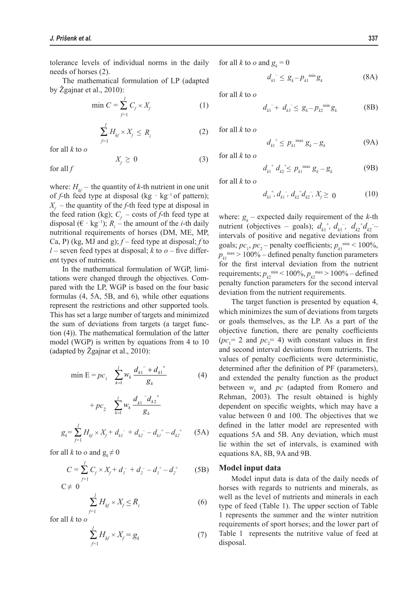tolerance levels of individual norms in the daily needs of horses (2).

The mathematical formulation of LP (adapted by Žgajnar et al., 2010):

$$
\min C = \sum_{f=1}^{l} C_f \times X_f \tag{1}
$$

$$
\sum_{f=1}^{I} H_{kf} \times X_f \le R_i \tag{2}
$$

 $X_f \geq 0$  (3)

for all *k* to *o*

 *Xf* for all *f*

where:  $H_{kf}$  – the quantity of *k*-th nutrient in one unit of *f*-th feed type at disposal (kg  $\cdot$  kg<sup>-1</sup> of pattern); *Xf* – the quantity of the *f*-th feed type at disposal in the feed ration (kg);  $C_f$  – costs of *f*-th feed type at disposal  $(\epsilon \cdot \text{kg}^{-1})$ ;  $R_i$  – the amount of the *i*-th daily nutritional requirements of horses (DM, ME, MP, Ca, P) (kg, MJ and g); *f* – feed type at disposal; *f* to *l* – seven feed types at disposal; *k* to *o* – five different types of nutrients.

In the mathematical formulation of WGP, limitations were changed through the objectives. Compared with the LP, WGP is based on the four basic formulas (4, 5A, 5B, and 6), while other equations represent the restrictions and other supported tools. This has set a large number of targets and minimized the sum of deviations from targets (a target function (4)). The mathematical formulation of the latter model (WGP) is written by equations from 4 to 10 (adapted by Žgajnar et al., 2010):

$$
\min \mathbf{E} = pc_1 \quad \sum_{k=1}^{l} w_k \frac{d_{k1}^2 + d_{k1}^2}{g_k} \tag{4}
$$

+ 
$$
pc_2
$$
  $\sum_{k=1}^{l} w_k \frac{d_{k1}^{\ \ -d_{k2}^{\ \ +}}}{g_k}$   

$$
g_k = \sum_{j=1}^{l} H_{kj} \times X_j + d_{k1}^{\ \ -} + d_{k2}^{\ \ -} - d_{k1}^{\ \ +} - d_{k2}^{\ \ +} \qquad (5A)
$$

for all *k* to *o* and  $g_k \neq 0$ 

$$
C = \sum_{f=1}^{1} C_f \times X_f + d_1^- + d_2^- - d_1^+ - d_2^+ \tag{5B}
$$
  

$$
C \neq 0
$$

$$
\sum_{f=1}^{I} H_{kf} \times X_f \le R_i
$$
 (6)

for all *k* to *o*

$$
\sum_{f=1}^{I} H_{kf} \times X_f = g_k \tag{7}
$$

for all *k* to *o* and  $g_k = 0$ 

$$
d_{k_1}^{-} \leq g_k - p_{k_1}^{\min} g_k \tag{8A}
$$

 for all *k* to *o*

$$
d_{k1}^- + d_{k3}^- \le g_k - p_{k2}^{\min} g_k \tag{8B}
$$

for all *k* to *o*

$$
d_{k1}^+ \le p_{k1}^{\max} g_k - g_k \tag{9A}
$$

for all *k* to *o*

$$
d_{k1}^{\ \ +} d_{k2}^{\ \ +} \leq p_{k1}^{\ \ \max} g_k - g_k \tag{9B}
$$

for all *k* to *o*

$$
d_{k1}^{\ \ +}, d_{k1}^{\ \ -}, d_{k2}^{\ \ +} d_{k2}^{\ \ -}, X_f \geq 0 \tag{10}
$$

where:  $g_k$  – expected daily requirement of the *k*-th nutrient (objectives – goals);  $d_{k_1}^{\dagger}$ ,  $d_{k_1}^{\dagger}$ ,  $d_{k_2}^{\dagger}$  – intervals of positive and negative deviations from goals;  $pc_1$ ,  $pc_2$  – penalty coefficients;  $p_{k1}^{\text{min}}$  < 100%,  $p_{k1}^{\text{max}} > 100\%$  – defined penalty function parameters for the first interval deviation from the nutrient requirements;  $p_{k2}^{\text{min}} < 100\%$ ,  $p_{k2}^{\text{max}} > 100\%$  – defined penalty function parameters for the second interval deviation from the nutrient requirements.

The target function is presented by equation 4, which minimizes the sum of deviations from targets or goals themselves, as the LP. As a part of the objective function, there are penalty coefficients  $(pc_1 = 2$  and  $pc_2 = 4)$  with constant values in first and second interval deviations from nutrients. The values of penalty coefficients were deterministic, determined after the definition of PF (parameters), and extended the penalty function as the product between  $w_k$  and  $pc$  (adapted from Romero and Rehman, 2003). The result obtained is highly dependent on specific weights, which may have a value between 0 and 100. The objectives that we defined in the latter model are represented with equations 5A and 5B. Any deviation, which must lie within the set of intervals, is examined with equations 8A, 8B, 9A and 9B.

#### **Model input data**

Model input data is data of the daily needs of horses with regards to nutrients and minerals, as well as the level of nutrients and minerals in each type of feed (Table 1). The upper section of Table 1 represents the summer and the winter nutrition requirements of sport horses; and the lower part of Table 1 represents the nutritive value of feed at disposal.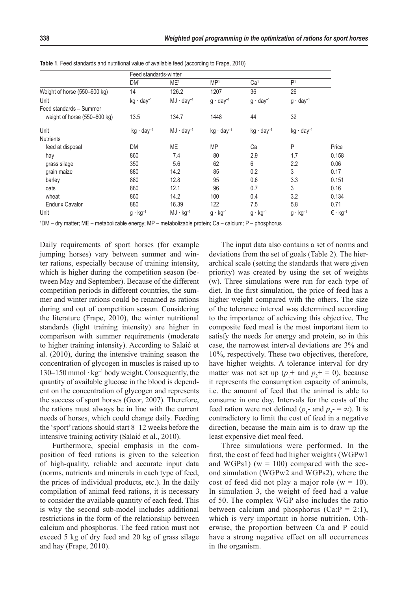|                              | Feed standards-winter |                     |                        |                        |                     |                                   |
|------------------------------|-----------------------|---------------------|------------------------|------------------------|---------------------|-----------------------------------|
|                              | DM <sup>1</sup>       | ME <sup>1</sup>     | MP <sup>1</sup>        | Ca <sup>1</sup>        | P <sup>1</sup>      |                                   |
| Weight of horse (550-600 kg) | 14                    | 126.2               | 1207                   | 36                     | 26                  |                                   |
| Unit                         | $kg \cdot day^{-1}$   | $MJ \cdot day^{-1}$ | $g \cdot day^{-1}$     | $g \cdot day^{-1}$     | $g \cdot day^{-1}$  |                                   |
| Feed standards - Summer      |                       |                     |                        |                        |                     |                                   |
| weight of horse (550–600 kg) | 13.5                  | 134.7               | 1448                   | 44                     | 32                  |                                   |
| Unit                         | $kg \cdot day^{-1}$   | $MJ \cdot day^{-1}$ | kg · day <sup>-1</sup> | kg · day <sup>-1</sup> | $kg \cdot day^{-1}$ |                                   |
| <b>Nutrients</b>             |                       |                     |                        |                        |                     |                                   |
| feed at disposal             | <b>DM</b>             | ME                  | <b>MP</b>              | Ca                     | P                   | Price                             |
| hay                          | 860                   | 7.4                 | 80                     | 2.9                    | 1.7                 | 0.158                             |
| grass silage                 | 350                   | 5.6                 | 62                     | 6                      | 2.2                 | 0.06                              |
| grain maize                  | 880                   | 14.2                | 85                     | 0.2                    | 3                   | 0.17                              |
| barley                       | 880                   | 12.8                | 95                     | 0.6                    | 3.3                 | 0.151                             |
| oats                         | 880                   | 12.1                | 96                     | 0.7                    | 3                   | 0.16                              |
| wheat                        | 860                   | 14.2                | 100                    | 0.4                    | 3.2                 | 0.134                             |
| <b>Endurix Cavalor</b>       | 880                   | 16.39               | 122                    | 7.5                    | 5.8                 | 0.71                              |
| Unit                         | $g \cdot kg^{-1}$     | $MJ \cdot kg^{-1}$  | $g \cdot kg^{-1}$      | $g \cdot kg^{-1}$      | $g \cdot kg^{-1}$   | $\epsilon \cdot$ kg <sup>-1</sup> |

**Table 1**. Feed standards and nutritional value of available feed (according to Frape, 2010)

1 DM – dry matter; ME – metabolizable energy; MP – metabolizable protein; Ca – calcium; P – phosphorus

Daily requirements of sport horses (for example jumping horses) vary between summer and winter rations, especially because of training intensity, which is higher during the competition season (between May and September). Because of the different competition periods in different countries, the summer and winter rations could be renamed as rations during and out of competition season. Considering the literature (Frape, 2010), the winter nutritional standards (light training intensity) are higher in comparison with summer requirements (moderate to higher training intensity). According to Salaić et al. (2010), during the intensive training season the concentration of glycogen in muscles is raised up to  $130-150$  mmol · kg<sup>-1</sup> body weight. Consequently, the quantity of available glucose in the blood is dependent on the concentration of glycogen and represents the success of sport horses (Geor, 2007). Therefore, the rations must always be in line with the current needs of horses, which could change daily. Feeding the 'sport' rations should start 8–12 weeks before the intensive training activity (Salaić et al., 2010).

Furthermore, special emphasis in the composition of feed rations is given to the selection of high-quality, reliable and accurate input data (norms, nutrients and minerals in each type of feed, the prices of individual products, etc.). In the daily compilation of animal feed rations, it is necessary to consider the available quantity of each feed. This is why the second sub-model includes additional restrictions in the form of the relationship between calcium and phosphorus. The feed ration must not exceed 5 kg of dry feed and 20 kg of grass silage and hay (Frape, 2010).

The input data also contains a set of norms and deviations from the set of goals (Table 2). The hierarchical scale (setting the standards that were given priority) was created by using the set of weights (w). Three simulations were run for each type of diet. In the first simulation, the price of feed has a higher weight compared with the others. The size of the tolerance interval was determined according to the importance of achieving this objective. The composite feed meal is the most important item to satisfy the needs for energy and protein, so in this case, the narrowest interval deviations are 3% and 10%, respectively. These two objectives, therefore, have higher weights. A tolerance interval for dry matter was not set up  $(p_1^+ \text{ and } p_2^+ = 0)$ , because it represents the consumption capacity of animals, i.e. the amount of feed that the animal is able to consume in one day. Intervals for the costs of the feed ration were not defined  $(p_1$ - and  $p_2$ - = ∞). It is contradictory to limit the cost of feed in a negative direction, because the main aim is to draw up the least expensive diet meal feed.

Three simulations were performed. In the first, the cost of feed had higher weights (WGPw1 and WGPs1) ( $w = 100$ ) compared with the second simulation (WGPw2 and WGPs2), where the cost of feed did not play a major role ( $w = 10$ ). In simulation 3, the weight of feed had a value of 50. The complex WGP also includes the ratio between calcium and phosphorus  $(Ca \cdot P = 2:1)$ , which is very important in horse nutrition. Otherwise, the proportion between Ca and P could have a strong negative effect on all occurrences in the organism.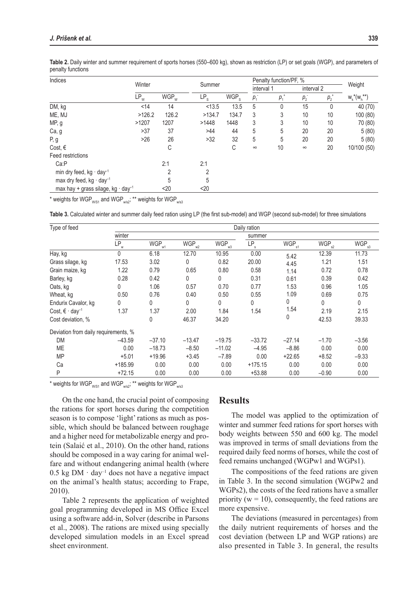| Indices                                              |        | Winter             |                 | Summer           |          | Penalty function/PF, % |          |              |                   |
|------------------------------------------------------|--------|--------------------|-----------------|------------------|----------|------------------------|----------|--------------|-------------------|
|                                                      |        |                    |                 |                  |          | interval 1             |          | interval 2   | Weight            |
|                                                      | $LP_w$ | $WGP$ <sub>w</sub> | LP <sub>s</sub> | WGP <sub>s</sub> | $p_{1}$  | $p_1^*$                | $p_{2}$  | $p_2^+$      | $W_k^*(W_h^{**})$ |
| DM, kg                                               | < 14   | 14                 | < 13.5          | 13.5             | 5        | 0                      | 15       | $\mathbf{0}$ | 40 (70)           |
| ME, MJ                                               | >126.2 | 126.2              | >134.7          | 134.7            | 3        | 3                      | 10       | 10           | 100 (80)          |
| MP, g                                                | >1207  | 1207               | >1448           | 1448             | 3        | 3                      | 10       | 10           | 70 (80)           |
| Ca, g                                                | >37    | 37                 | >44             | 44               | 5        | 5                      | 20       | 20           | 5(80)             |
| P, g                                                 | $>26$  | 26                 | >32             | 32               | 5        | 5                      | 20       | 20           | 5(80)             |
| Cost, $\epsilon$                                     |        | С                  |                 | С                | $\infty$ | 10                     | $\infty$ | 20           | 10/100 (50)       |
| Feed restrictions                                    |        |                    |                 |                  |          |                        |          |              |                   |
| CaP                                                  |        | 2:1                | 2:1             |                  |          |                        |          |              |                   |
| min dry feed, kg $\cdot$ day <sup>-1</sup>           |        | 2                  | $\overline{2}$  |                  |          |                        |          |              |                   |
| max dry feed, kg · day <sup>-1</sup>                 |        | 5                  | 5               |                  |          |                        |          |              |                   |
| max hay + grass silage, kg $\cdot$ day <sup>-1</sup> |        | $20$               | $20$            |                  |          |                        |          |              |                   |

**Table 2.** Daily winter and summer requirement of sports horses (550–600 kg), shown as restriction (LP) or set goals (WGP), and parameters of penalty functions

\* weights for WGP $_{\text{WS1}}$  and WGP $_{\text{WS2}}$ ; \*\* weights for WGP $_{\text{WS3}}$ 

**Table 3.** Calculated winter and summer daily feed ration using LP (the first sub-model) and WGP (second sub-model) for three simulations

| Type of feed                             | Daily ration             |                   |            |              |                 |            |            |                   |  |  |
|------------------------------------------|--------------------------|-------------------|------------|--------------|-----------------|------------|------------|-------------------|--|--|
|                                          | winter                   |                   |            |              | summer          |            |            |                   |  |  |
|                                          | $\mathsf{LP}_\mathsf{w}$ | WGP <sub>w1</sub> | $WGP_{w2}$ | $WGP_{w3}$   | LP <sub>s</sub> | $WGP_{s1}$ | $WGP_{s2}$ | WGP <sub>s3</sub> |  |  |
| Hay, kg                                  | $\Omega$                 | 6.18              | 12.70      | 10.95        | 0.00            | 5.42       | 12.39      | 11.73             |  |  |
| Grass silage, kg                         | 17.53                    | 3.02              | 0          | 0.82         | 20.00           | 4.45       | 1.21       | 1.51              |  |  |
| Grain maize, kg                          | 1.22                     | 0.79              | 0.65       | 0.80         | 0.58            | 1.14       | 0.72       | 0.78              |  |  |
| Barley, kg                               | 0.28                     | 0.42              | 0          | $\mathbf{0}$ | 0.31            | 0.61       | 0.39       | 0.42              |  |  |
| Oats, kg                                 | 0                        | 1.06              | 0.57       | 0.70         | 0.77            | 1.53       | 0.96       | 1.05              |  |  |
| Wheat, kg                                | 0.50                     | 0.76              | 0.40       | 0.50         | 0.55            | 1.09       | 0.69       | 0.75              |  |  |
| Endurix Cavalor, kg                      | 0                        | 0                 | 0          | $\mathbf{0}$ | 0               | 0          | 0          | 0                 |  |  |
| Cost, $\epsilon \cdot$ day <sup>-1</sup> | 1.37                     | 1.37              | 2.00       | 1.84         | 1.54            | 1.54       | 2.19       | 2.15              |  |  |
| Cost deviation, %                        |                          | 0                 | 46.37      | 34.20        |                 | 0          | 42.53      | 39.33             |  |  |
| Deviation from daily requirements, %     |                          |                   |            |              |                 |            |            |                   |  |  |
| <b>DM</b>                                | $-43.59$                 | $-37.10$          | $-13.47$   | $-19.75$     | $-33.72$        | $-27.14$   | $-1.70$    | $-3.56$           |  |  |
| <b>ME</b>                                | 0.00                     | $-18.73$          | $-8.50$    | $-11.02$     | $-4.95$         | $-8.86$    | 0.00       | 0.00              |  |  |
| <b>MP</b>                                | $+5.01$                  | $+19.96$          | $+3.45$    | $-7.89$      | 0.00            | $+22.65$   | $+8.52$    | $-9.33$           |  |  |
| Сa                                       | $+185.99$                | 0.00              | 0.00       | 0.00         | $+175.15$       | 0.00       | 0.00       | 0.00              |  |  |
| P                                        | $+72.15$                 | 0.00              | 0.00       | 0.00         | $+53.88$        | 0.00       | $-0.90$    | 0.00              |  |  |

\* weights for WGP $_{\text{WS1}}$  and WGP $_{\text{ws2}}$ ; \*\* weights for WGP $_{\text{ws3}}$ 

On the one hand, the crucial point of composing the rations for sport horses during the competition season is to compose 'light' rations as much as possible, which should be balanced between roughage and a higher need for metabolizable energy and protein (Salaić et al., 2010). On the other hand, rations should be composed in a way caring for animal welfare and without endangering animal health (where  $0.5$  kg DM  $\cdot$  day<sup>-1</sup> does not have a negative impact on the animal's health status; according to Frape, 2010).

Table 2 represents the application of weighted goal programming developed in MS Office Excel using a software add-in, Solver (describe in Parsons et al., 2008). The rations are mixed using specially developed simulation models in an Excel spread sheet environment.

### **Results**

The model was applied to the optimization of winter and summer feed rations for sport horses with body weights between 550 and 600 kg. The model was improved in terms of small deviations from the required daily feed norms of horses, while the cost of feed remains unchanged (WGPw1 and WGPs1).

The compositions of the feed rations are given in Table 3. In the second simulation (WGPw2 and WGPs2), the costs of the feed rations have a smaller priority ( $w = 10$ ), consequently, the feed rations are more expensive.

The deviations (measured in percentages) from the daily nutrient requirements of horses and the cost deviation (between LP and WGP rations) are also presented in Table 3. In general, the results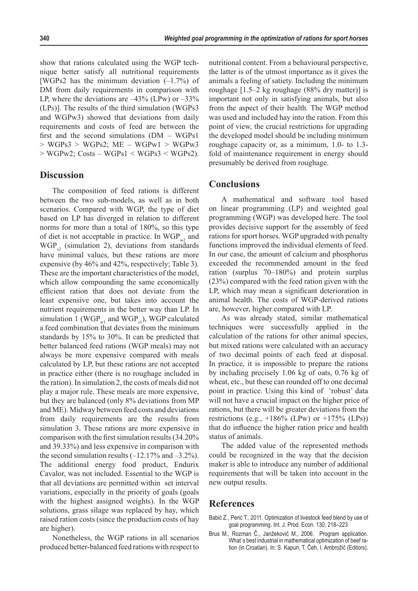show that rations calculated using the WGP technique better satisfy all nutritional requirements [WGPs2 has the minimum deviation  $(-1.7\%)$  of DM from daily requirements in comparison with LP, where the deviations are  $-43\%$  (LPw) or  $-33\%$ (LPs)]. The results of the third simulation (WGPs3 and WGPw3) showed that deviations from daily requirements and costs of feed are between the first and the second simulations (DM – WGPs1  $> WGPs3 > WGPs2$ ; ME – WGPw1  $> WGPw3$  $>$  WGPw2; Costs – WGPs1 < WGPs3 < WGPs2).

## **Discussion**

The composition of feed rations is different between the two sub-models, as well as in both scenarios. Compared with WGP, the type of diet based on LP has diverged in relation to different norms for more than a total of 180%, so this type of diet is not acceptable in practice. In  $WGP_{w2}$  and  $WGP<sub>g</sub>$  (simulation 2), deviations from standards have minimal values, but these rations are more expensive (by 46% and 42%, respectively; Table 3). These are the important characteristics of the model, which allow compounding the same economically efficient ration that does not deviate from the least expensive one, but takes into account the nutrient requirements in the better way than LP. In simulation 1 (WGP<sub>w1</sub> and WGP<sub>s1</sub>), WGP calculated a feed combination that deviates from the minimum standards by 15% to 30%. It can be predicted that better balanced feed rations (WGP meals) may not always be more expensive compared with meals calculated by LP, but these rations are not accepted in practice either (there is no roughage included in the ration). In simulation 2, the costs of meals did not play a major rule. These meals are more expensive, but they are balanced (only 8% deviations from MP and ME). Midway between feed costs and deviations from daily requirements are the results from simulation 3. These rations are more expensive in comparison with the first simulation results (34.20% and 39.33%) and less expensive in comparison with the second simulation results  $(-12.17\% \text{ and } -3.2\%).$ The additional energy food product, Endurix Cavalor, was not included. Essential to the WGP is that all deviations are permitted within set interval variations, especially in the priority of goals (goals with the highest assigned weights). In the WGP solutions, grass silage was replaced by hay, which raised ration costs (since the production costs of hay are higher).

Nonetheless, the WGP rations in all scenarios produced better-balanced feed rations with respect to nutritional content. From a behavioural perspective, the latter is of the utmost importance as it gives the animals a feeling of satiety. Including the minimum roughage [1.5–2 kg roughage (88% dry matter)] is important not only in satisfying animals, but also from the aspect of their health. The WGP method was used and included hay into the ration. From this point of view, the crucial restrictions for upgrading the developed model should be including minimum roughage capacity or, as a minimum, 1.0- to 1.3 fold of maintenance requirement in energy should presumably be derived from roughage.

## **Conclusions**

A mathematical and software tool based on linear programming (LP) and weighted goal programming (WGP) was developed here. The tool provides decisive support for the assembly of feed rations for sport horses. WGP upgraded with penalty functions improved the individual elements of feed. In our case, the amount of calcium and phosphorus exceeded the recommended amount in the feed ration (surplus 70–180%) and protein surplus (23%) compared with the feed ration given with the LP, which may mean a significant deterioration in animal health. The costs of WGP-derived rations are, however, higher compared with LP.

As was already stated, similar mathematical techniques were successfully applied in the calculation of the rations for other animal species, but mixed rations were calculated with an accuracy of two decimal points of each feed at disposal. In practice, it is impossible to prepare the rations by including precisely 1.06 kg of oats, 0.76 kg of wheat, etc., but these can rounded off to one decimal point in practice. Using this kind of 'robust' data will not have a crucial impact on the higher price of rations, but there will be greater deviations from the restrictions (e.g.,  $+186\%$  (LPw) or  $+175\%$  (LPs)) that do influence the higher ration price and health status of animals.

The added value of the represented methods could be recognized in the way that the decision maker is able to introduce any number of additional requirements that will be taken into account in the new output results.

## **References**

- Babić Z., Perić T., 2011. Optimization of livestock feed blend by use of goal programming. Int. J. Prod. Econ. 130, 218–223
- Brus M., Rozman Č., Janžekovič M., 2006. Program application. What`s best industrial in mathematical optimization of beef ration (in Croatian). In: S. Kapun, T. Čeh, I. Ambrožič (Editors).